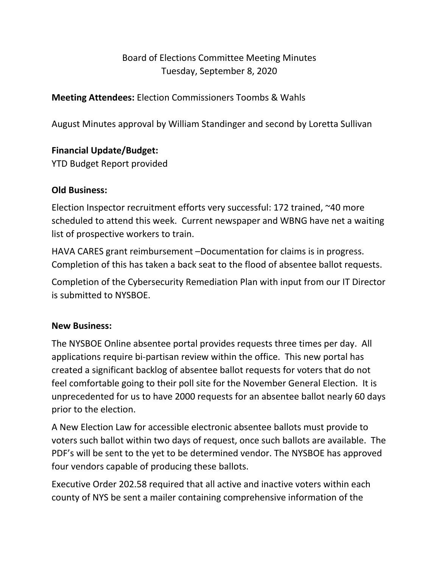# Board of Elections Committee Meeting Minutes Tuesday, September 8, 2020

## **Meeting Attendees:** Election Commissioners Toombs & Wahls

August Minutes approval by William Standinger and second by Loretta Sullivan

## **Financial Update/Budget:**

YTD Budget Report provided

### **Old Business:**

Election Inspector recruitment efforts very successful: 172 trained, ~40 more scheduled to attend this week. Current newspaper and WBNG have net a waiting list of prospective workers to train.

HAVA CARES grant reimbursement –Documentation for claims is in progress. Completion of this has taken a back seat to the flood of absentee ballot requests.

Completion of the Cybersecurity Remediation Plan with input from our IT Director is submitted to NYSBOE.

## **New Business:**

The NYSBOE Online absentee portal provides requests three times per day. All applications require bi-partisan review within the office. This new portal has created a significant backlog of absentee ballot requests for voters that do not feel comfortable going to their poll site for the November General Election. It is unprecedented for us to have 2000 requests for an absentee ballot nearly 60 days prior to the election.

A New Election Law for accessible electronic absentee ballots must provide to voters such ballot within two days of request, once such ballots are available. The PDF's will be sent to the yet to be determined vendor. The NYSBOE has approved four vendors capable of producing these ballots.

Executive Order 202.58 required that all active and inactive voters within each county of NYS be sent a mailer containing comprehensive information of the